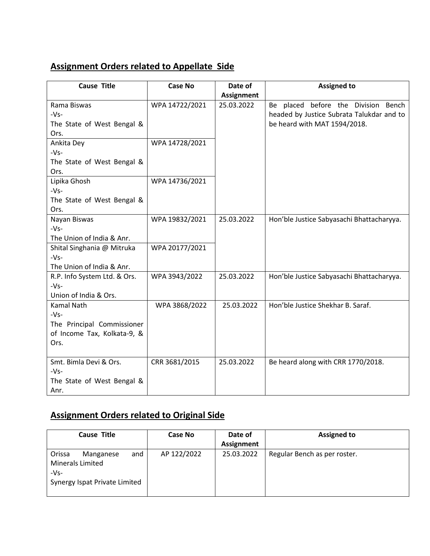## **Assignment Orders related to Appellate Side**

| <b>Cause Title</b>           | <b>Case No</b> | Date of           | <b>Assigned to</b>                        |
|------------------------------|----------------|-------------------|-------------------------------------------|
|                              |                | <b>Assignment</b> |                                           |
| Rama Biswas                  | WPA 14722/2021 | 25.03.2022        | Be placed before the Division Bench       |
| $-Vs-$                       |                |                   | headed by Justice Subrata Talukdar and to |
| The State of West Bengal &   |                |                   | be heard with MAT 1594/2018.              |
| Ors.                         |                |                   |                                           |
| Ankita Dey                   | WPA 14728/2021 |                   |                                           |
| $-Vs-$                       |                |                   |                                           |
| The State of West Bengal &   |                |                   |                                           |
| Ors.                         |                |                   |                                           |
| Lipika Ghosh                 | WPA 14736/2021 |                   |                                           |
| $-Vs-$                       |                |                   |                                           |
| The State of West Bengal &   |                |                   |                                           |
| Ors.                         |                |                   |                                           |
| Nayan Biswas                 | WPA 19832/2021 | 25.03.2022        | Hon'ble Justice Sabyasachi Bhattacharyya. |
| $-Vs-$                       |                |                   |                                           |
| The Union of India & Anr.    |                |                   |                                           |
| Shital Singhania @ Mitruka   | WPA 20177/2021 |                   |                                           |
| $-Vs-$                       |                |                   |                                           |
| The Union of India & Anr.    |                |                   |                                           |
| R.P. Info System Ltd. & Ors. | WPA 3943/2022  | 25.03.2022        | Hon'ble Justice Sabyasachi Bhattacharyya. |
| $-Vs-$                       |                |                   |                                           |
| Union of India & Ors.        |                |                   |                                           |
| Kamal Nath                   | WPA 3868/2022  | 25.03.2022        | Hon'ble Justice Shekhar B. Saraf.         |
| $-Vs-$                       |                |                   |                                           |
| The Principal Commissioner   |                |                   |                                           |
| of Income Tax, Kolkata-9, &  |                |                   |                                           |
| Ors.                         |                |                   |                                           |
|                              |                |                   |                                           |
| Smt. Bimla Devi & Ors.       | CRR 3681/2015  | 25.03.2022        | Be heard along with CRR 1770/2018.        |
| $-Vs-$                       |                |                   |                                           |
| The State of West Bengal &   |                |                   |                                           |
| Anr.                         |                |                   |                                           |

## **Assignment Orders related to Original Side**

| <b>Cause Title</b>                                                                               | Case No     | Date of           | <b>Assigned to</b>           |
|--------------------------------------------------------------------------------------------------|-------------|-------------------|------------------------------|
|                                                                                                  |             | <b>Assignment</b> |                              |
| Orissa<br>and<br>Manganese<br><b>Minerals Limited</b><br>$-Vs-$<br>Synergy Ispat Private Limited | AP 122/2022 | 25.03.2022        | Regular Bench as per roster. |